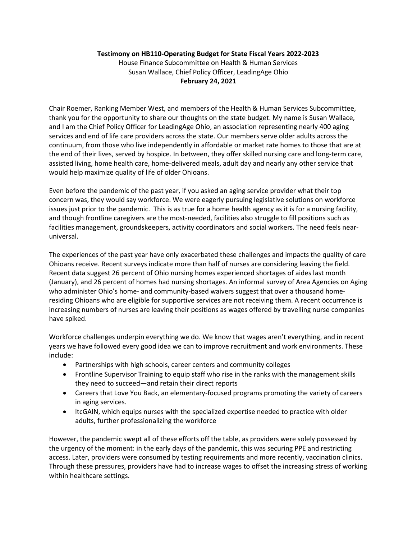## Testimony on HB110-Operating Budget for State Fiscal Years 2022-2023

House Finance Subcommittee on Health & Human Services Susan Wallace, Chief Policy Officer, LeadingAge Ohio February 24, 2021

Chair Roemer, Ranking Member West, and members of the Health & Human Services Subcommittee, thank you for the opportunity to share our thoughts on the state budget. My name is Susan Wallace, and I am the Chief Policy Officer for LeadingAge Ohio, an association representing nearly 400 aging services and end of life care providers across the state. Our members serve older adults across the continuum, from those who live independently in affordable or market rate homes to those that are at the end of their lives, served by hospice. In between, they offer skilled nursing care and long-term care, assisted living, home health care, home-delivered meals, adult day and nearly any other service that would help maximize quality of life of older Ohioans.

Even before the pandemic of the past year, if you asked an aging service provider what their top concern was, they would say workforce. We were eagerly pursuing legislative solutions on workforce issues just prior to the pandemic. This is as true for a home health agency as it is for a nursing facility, and though frontline caregivers are the most-needed, facilities also struggle to fill positions such as facilities management, groundskeepers, activity coordinators and social workers. The need feels nearuniversal.

The experiences of the past year have only exacerbated these challenges and impacts the quality of care Ohioans receive. Recent surveys indicate more than half of nurses are considering leaving the field. Recent data suggest 26 percent of Ohio nursing homes experienced shortages of aides last month (January), and 26 percent of homes had nursing shortages. An informal survey of Area Agencies on Aging who administer Ohio's home- and community-based waivers suggest that over a thousand homeresiding Ohioans who are eligible for supportive services are not receiving them. A recent occurrence is increasing numbers of nurses are leaving their positions as wages offered by travelling nurse companies have spiked.

Workforce challenges underpin everything we do. We know that wages aren't everything, and in recent years we have followed every good idea we can to improve recruitment and work environments. These include:

- Partnerships with high schools, career centers and community colleges
- Frontline Supervisor Training to equip staff who rise in the ranks with the management skills they need to succeed—and retain their direct reports
- Careers that Love You Back, an elementary-focused programs promoting the variety of careers in aging services.
- ltcGAIN, which equips nurses with the specialized expertise needed to practice with older adults, further professionalizing the workforce

However, the pandemic swept all of these efforts off the table, as providers were solely possessed by the urgency of the moment: in the early days of the pandemic, this was securing PPE and restricting access. Later, providers were consumed by testing requirements and more recently, vaccination clinics. Through these pressures, providers have had to increase wages to offset the increasing stress of working within healthcare settings.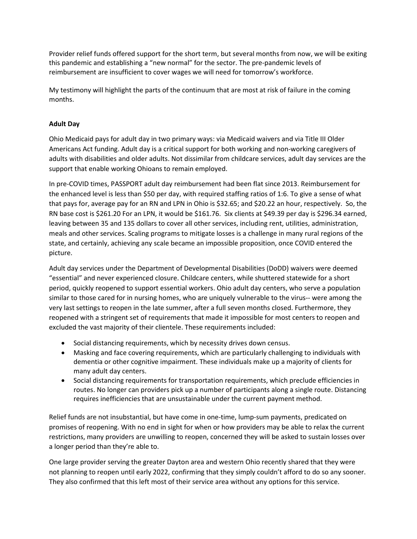Provider relief funds offered support for the short term, but several months from now, we will be exiting this pandemic and establishing a "new normal" for the sector. The pre-pandemic levels of reimbursement are insufficient to cover wages we will need for tomorrow's workforce.

My testimony will highlight the parts of the continuum that are most at risk of failure in the coming months.

# Adult Day

Ohio Medicaid pays for adult day in two primary ways: via Medicaid waivers and via Title III Older Americans Act funding. Adult day is a critical support for both working and non-working caregivers of adults with disabilities and older adults. Not dissimilar from childcare services, adult day services are the support that enable working Ohioans to remain employed.

In pre-COVID times, PASSPORT adult day reimbursement had been flat since 2013. Reimbursement for the enhanced level is less than \$50 per day, with required staffing ratios of 1:6. To give a sense of what that pays for, average pay for an RN and LPN in Ohio is \$32.65; and \$20.22 an hour, respectively. So, the RN base cost is \$261.20 For an LPN, it would be \$161.76. Six clients at \$49.39 per day is \$296.34 earned, leaving between 35 and 135 dollars to cover all other services, including rent, utilities, administration, meals and other services. Scaling programs to mitigate losses is a challenge in many rural regions of the state, and certainly, achieving any scale became an impossible proposition, once COVID entered the picture.

Adult day services under the Department of Developmental Disabilities (DoDD) waivers were deemed "essential" and never experienced closure. Childcare centers, while shuttered statewide for a short period, quickly reopened to support essential workers. Ohio adult day centers, who serve a population similar to those cared for in nursing homes, who are uniquely vulnerable to the virus-- were among the very last settings to reopen in the late summer, after a full seven months closed. Furthermore, they reopened with a stringent set of requirements that made it impossible for most centers to reopen and excluded the vast majority of their clientele. These requirements included:

- Social distancing requirements, which by necessity drives down census.
- Masking and face covering requirements, which are particularly challenging to individuals with dementia or other cognitive impairment. These individuals make up a majority of clients for many adult day centers.
- Social distancing requirements for transportation requirements, which preclude efficiencies in routes. No longer can providers pick up a number of participants along a single route. Distancing requires inefficiencies that are unsustainable under the current payment method.

Relief funds are not insubstantial, but have come in one-time, lump-sum payments, predicated on promises of reopening. With no end in sight for when or how providers may be able to relax the current restrictions, many providers are unwilling to reopen, concerned they will be asked to sustain losses over a longer period than they're able to.

One large provider serving the greater Dayton area and western Ohio recently shared that they were not planning to reopen until early 2022, confirming that they simply couldn't afford to do so any sooner. They also confirmed that this left most of their service area without any options for this service.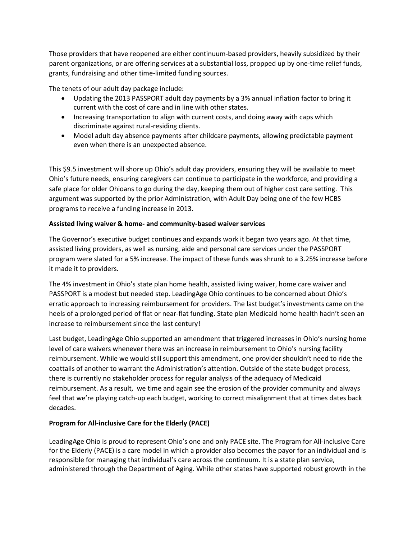Those providers that have reopened are either continuum-based providers, heavily subsidized by their parent organizations, or are offering services at a substantial loss, propped up by one-time relief funds, grants, fundraising and other time-limited funding sources.

The tenets of our adult day package include:

- Updating the 2013 PASSPORT adult day payments by a 3% annual inflation factor to bring it current with the cost of care and in line with other states.
- Increasing transportation to align with current costs, and doing away with caps which discriminate against rural-residing clients.
- Model adult day absence payments after childcare payments, allowing predictable payment even when there is an unexpected absence.

This \$9.5 investment will shore up Ohio's adult day providers, ensuring they will be available to meet Ohio's future needs, ensuring caregivers can continue to participate in the workforce, and providing a safe place for older Ohioans to go during the day, keeping them out of higher cost care setting. This argument was supported by the prior Administration, with Adult Day being one of the few HCBS programs to receive a funding increase in 2013.

## Assisted living waiver & home- and community-based waiver services

The Governor's executive budget continues and expands work it began two years ago. At that time, assisted living providers, as well as nursing, aide and personal care services under the PASSPORT program were slated for a 5% increase. The impact of these funds was shrunk to a 3.25% increase before it made it to providers.

The 4% investment in Ohio's state plan home health, assisted living waiver, home care waiver and PASSPORT is a modest but needed step. LeadingAge Ohio continues to be concerned about Ohio's erratic approach to increasing reimbursement for providers. The last budget's investments came on the heels of a prolonged period of flat or near-flat funding. State plan Medicaid home health hadn't seen an increase to reimbursement since the last century!

Last budget, LeadingAge Ohio supported an amendment that triggered increases in Ohio's nursing home level of care waivers whenever there was an increase in reimbursement to Ohio's nursing facility reimbursement. While we would still support this amendment, one provider shouldn't need to ride the coattails of another to warrant the Administration's attention. Outside of the state budget process, there is currently no stakeholder process for regular analysis of the adequacy of Medicaid reimbursement. As a result, we time and again see the erosion of the provider community and always feel that we're playing catch-up each budget, working to correct misalignment that at times dates back decades.

# Program for All-inclusive Care for the Elderly (PACE)

LeadingAge Ohio is proud to represent Ohio's one and only PACE site. The Program for All-inclusive Care for the Elderly (PACE) is a care model in which a provider also becomes the payor for an individual and is responsible for managing that individual's care across the continuum. It is a state plan service, administered through the Department of Aging. While other states have supported robust growth in the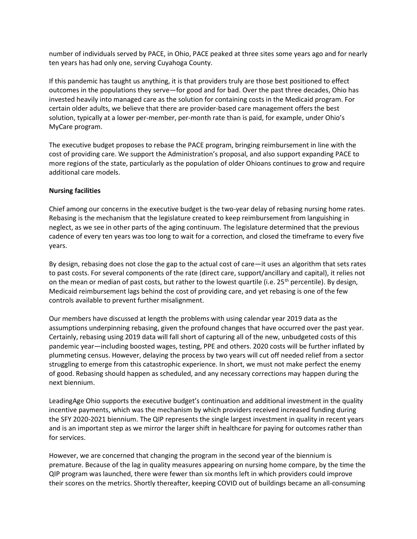number of individuals served by PACE, in Ohio, PACE peaked at three sites some years ago and for nearly ten years has had only one, serving Cuyahoga County.

If this pandemic has taught us anything, it is that providers truly are those best positioned to effect outcomes in the populations they serve—for good and for bad. Over the past three decades, Ohio has invested heavily into managed care as the solution for containing costs in the Medicaid program. For certain older adults, we believe that there are provider-based care management offers the best solution, typically at a lower per-member, per-month rate than is paid, for example, under Ohio's MyCare program.

The executive budget proposes to rebase the PACE program, bringing reimbursement in line with the cost of providing care. We support the Administration's proposal, and also support expanding PACE to more regions of the state, particularly as the population of older Ohioans continues to grow and require additional care models.

### Nursing facilities

Chief among our concerns in the executive budget is the two-year delay of rebasing nursing home rates. Rebasing is the mechanism that the legislature created to keep reimbursement from languishing in neglect, as we see in other parts of the aging continuum. The legislature determined that the previous cadence of every ten years was too long to wait for a correction, and closed the timeframe to every five years.

By design, rebasing does not close the gap to the actual cost of care—it uses an algorithm that sets rates to past costs. For several components of the rate (direct care, support/ancillary and capital), it relies not on the mean or median of past costs, but rather to the lowest quartile (i.e.  $25<sup>th</sup>$  percentile). By design, Medicaid reimbursement lags behind the cost of providing care, and yet rebasing is one of the few controls available to prevent further misalignment.

Our members have discussed at length the problems with using calendar year 2019 data as the assumptions underpinning rebasing, given the profound changes that have occurred over the past year. Certainly, rebasing using 2019 data will fall short of capturing all of the new, unbudgeted costs of this pandemic year—including boosted wages, testing, PPE and others. 2020 costs will be further inflated by plummeting census. However, delaying the process by two years will cut off needed relief from a sector struggling to emerge from this catastrophic experience. In short, we must not make perfect the enemy of good. Rebasing should happen as scheduled, and any necessary corrections may happen during the next biennium.

LeadingAge Ohio supports the executive budget's continuation and additional investment in the quality incentive payments, which was the mechanism by which providers received increased funding during the SFY 2020-2021 biennium. The QIP represents the single largest investment in quality in recent years and is an important step as we mirror the larger shift in healthcare for paying for outcomes rather than for services.

However, we are concerned that changing the program in the second year of the biennium is premature. Because of the lag in quality measures appearing on nursing home compare, by the time the QIP program was launched, there were fewer than six months left in which providers could improve their scores on the metrics. Shortly thereafter, keeping COVID out of buildings became an all-consuming